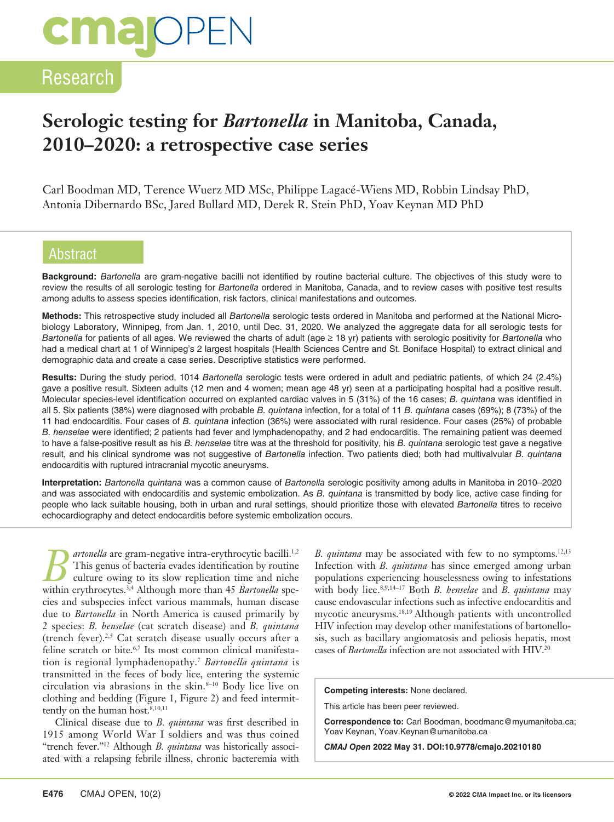# **cmalOPEN**

### Research

## **Serologic testing for** *Bartonella* **in Manitoba, Canada, 2010–2020: a retrospective case series**

Carl Boodman MD, Terence Wuerz MD MSc, Philippe Lagacé-Wiens MD, Robbin Lindsay PhD, Antonia Dibernardo BSc, Jared Bullard MD, Derek R. Stein PhD, Yoav Keynan MD PhD

#### Abstract

**Background:** *Bartonella* are gram-negative bacilli not identified by routine bacterial culture. The objectives of this study were to review the results of all serologic testing for *Bartonella* ordered in Manitoba, Canada, and to review cases with positive test results among adults to assess species identification, risk factors, clinical manifestations and outcomes.

**Methods:** This retrospective study included all *Bartonella* serologic tests ordered in Manitoba and performed at the National Microbiology Laboratory, Winnipeg, from Jan. 1, 2010, until Dec. 31, 2020. We analyzed the aggregate data for all serologic tests for *Bartonella* for patients of all ages. We reviewed the charts of adult (age ≥ 18 yr) patients with serologic positivity for *Bartonella* who had a medical chart at 1 of Winnipeg's 2 largest hospitals (Health Sciences Centre and St. Boniface Hospital) to extract clinical and demographic data and create a case series. Descriptive statistics were performed.

**Results:** During the study period, 1014 *Bartonella* serologic tests were ordered in adult and pediatric patients, of which 24 (2.4%) gave a positive result. Sixteen adults (12 men and 4 women; mean age 48 yr) seen at a participating hospital had a positive result. Molecular species-level identification occurred on explanted cardiac valves in 5 (31%) of the 16 cases; *B. quintana* was identified in all 5. Six patients (38%) were diagnosed with probable *B. quintana* infection, for a total of 11 *B. quintana* cases (69%); 8 (73%) of the 11 had endocarditis. Four cases of *B. quintana* infection (36%) were associated with rural residence. Four cases (25%) of probable *B. henselae* were identified; 2 patients had fever and lymphadenopathy, and 2 had endocarditis. The remaining patient was deemed to have a false-positive result as his *B. henselae* titre was at the threshold for positivity, his *B. quintana* serologic test gave a negative result, and his clinical syndrome was not suggestive of *Bartonella* infection. Two patients died; both had multivalvular *B. quintana* endocarditis with ruptured intracranial mycotic aneurysms.

**Interpretation:** *Bartonella quintana* was a common cause of *Bartonella* serologic positivity among adults in Manitoba in 2010–2020 and was associated with endocarditis and systemic embolization. As *B. quintana* is transmitted by body lice, active case finding for people who lack suitable housing, both in urban and rural settings, should prioritize those with elevated *Bartonella* titres to receive echocardiography and detect endocarditis before systemic embolization occurs.

*artonella* are gram-negative intra-erythrocytic bacilli.<sup>1,2</sup> This genus of bacteria evades identification by routine culture owing to its slow replication time and niche within erythrocytes.<sup>3,4</sup> Although more than 45 *Bartonella* species and subspecies infect various mammals, human disease due to *Bartonella* in North America is caused primarily by 2 species: *B. henselae* (cat scratch disease) and *B. quintana* (trench fever).<sup>2,5</sup> Cat scratch disease usually occurs after a feline scratch or bite.<sup>6,7</sup> Its most common clinical manifestation is regional lymphadenopathy.7 *Bartonella quintana* is transmitted in the feces of body lice, entering the systemic circulation via abrasions in the skin.8–10 Body lice live on clothing and bedding (Figure 1, Figure 2) and feed intermittently on the human host.<sup>8,10,11</sup>

Clinical disease due to *B. quintana* was first described in 1915 among World War I soldiers and was thus coined "trench fever."12 Although *B. quintana* was historically associated with a relapsing febrile illness, chronic bacteremia with *B. quintana* may be associated with few to no symptoms.<sup>12,13</sup> Infection with *B. quintana* has since emerged among urban populations experiencing houselessness owing to infestations with body lice.8,9,14–17 Both *B. henselae* and *B. quintana* may cause endovascular infections such as infective endocarditis and mycotic aneurysms.18,19 Although patients with uncontrolled HIV infection may develop other manifestations of bartonellosis, such as bacillary angiomatosis and peliosis hepatis, most cases of *Bartonella* infection are not associated with HIV.20

**Competing interests:** None declared.

This article has been peer reviewed.

**Correspondence to:** Carl Boodman, boodmanc@myumanitoba.ca; Yoav Keynan, Yoav.Keynan@umanitoba.ca

*CMAJ Open* **2022 May 31. DOI:10.9778/cmajo.20210180**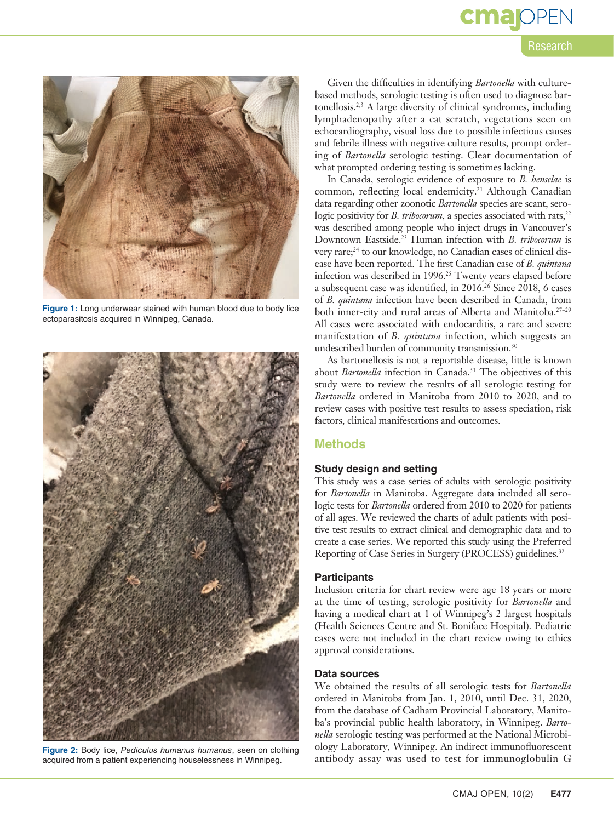# **cma** OPEN

#### Research



**Figure 1:** Long underwear stained with human blood due to body lice ectoparasitosis acquired in Winnipeg, Canada.



**Figure 2:** Body lice, *Pediculus humanus humanus*, seen on clothing acquired from a patient experiencing houselessness in Winnipeg.

Given the difficulties in identifying *Bartonella* with culturebased methods, serologic testing is often used to diagnose bartonellosis.2,3 A large diversity of clinical syndromes, including lymphadenopathy after a cat scratch, vegetations seen on echocardiography, visual loss due to possible infectious causes and febrile illness with negative culture results, prompt ordering of *Bartonella* serologic testing. Clear documentation of what prompted ordering testing is sometimes lacking.

In Canada, serologic evidence of exposure to *B. henselae* is common, reflecting local endemicity.<sup>21</sup> Although Canadian data regarding other zoonotic *Bartonella* species are scant, serologic positivity for *B. tribocorum*, a species associated with rats,<sup>22</sup> was described among people who inject drugs in Vancouver's Downtown Eastside.23 Human infection with *B. tribocorum* is very rare;<sup>24</sup> to our knowledge, no Canadian cases of clinical disease have been reported. The first Canadian case of *B. quintana* infection was described in 1996.25 Twenty years elapsed before a subsequent case was identified, in 2016.26 Since 2018, 6 cases of *B. quintana* infection have been described in Canada, from both inner-city and rural areas of Alberta and Manitoba.<sup>27-29</sup> All cases were associated with endocarditis, a rare and severe manifestation of *B. quintana* infection, which suggests an undescribed burden of community transmission.30

As bartonellosis is not a reportable disease, little is known about *Bartonella* infection in Canada.<sup>31</sup> The objectives of this study were to review the results of all serologic testing for *Bartonella* ordered in Manitoba from 2010 to 2020, and to review cases with positive test results to assess speciation, risk factors, clinical manifestations and outcomes.

#### **Methods**

#### **Study design and setting**

This study was a case series of adults with serologic positivity for *Bartonella* in Manitoba. Aggregate data included all serologic tests for *Bartonella* ordered from 2010 to 2020 for patients of all ages. We reviewed the charts of adult patients with positive test results to extract clinical and demographic data and to create a case series. We reported this study using the Preferred Reporting of Case Series in Surgery (PROCESS) guidelines.<sup>32</sup>

#### **Participants**

Inclusion criteria for chart review were age 18 years or more at the time of testing, serologic positivity for *Bartonella* and having a medical chart at 1 of Winnipeg's 2 largest hospitals (Health Sciences Centre and St. Boniface Hospital). Pediatric cases were not included in the chart review owing to ethics approval considerations.

#### **Data sources**

We obtained the results of all serologic tests for *Bartonella* ordered in Manitoba from Jan. 1, 2010, until Dec. 31, 2020, from the database of Cadham Provincial Laboratory, Manitoba's provincial public health laboratory, in Winnipeg. *Bartonella* serologic testing was performed at the National Microbiology Laboratory, Winnipeg. An indirect immunofluorescent antibody assay was used to test for immunoglobulin G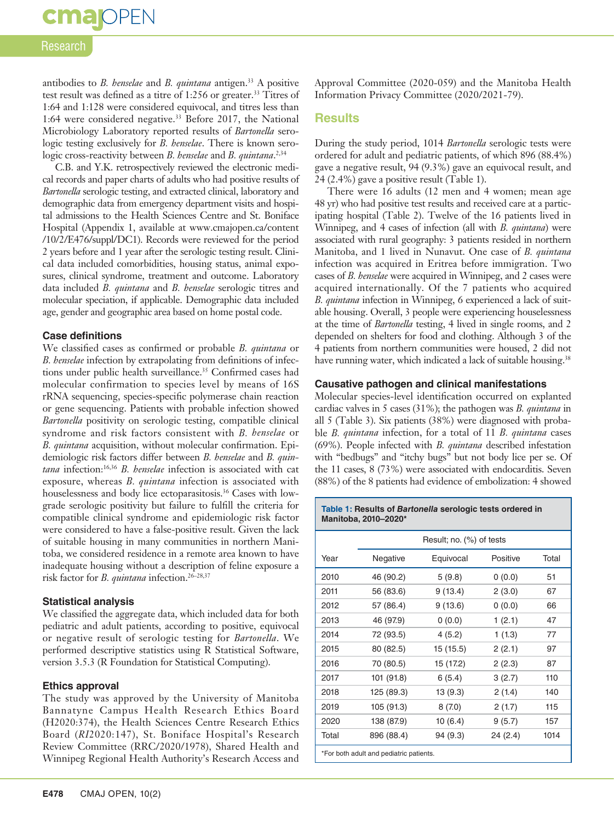# **cma** OPEN

#### Research

antibodies to *B. henselae* and *B. quintana* antigen.<sup>33</sup> A positive test result was defined as a titre of 1:256 or greater.<sup>33</sup> Titres of 1:64 and 1:128 were considered equivocal, and titres less than 1:64 were considered negative.33 Before 2017, the National Microbiology Laboratory reported results of *Bartonella* serologic testing exclusively for *B. henselae*. There is known serologic cross-reactivity between *B. henselae* and *B. quintana*. 2,34

C.B. and Y.K. retrospectively reviewed the electronic medical records and paper charts of adults who had positive results of *Bartonella* serologic testing, and extracted clinical, laboratory and demographic data from emergency department visits and hospital admissions to the Health Sciences Centre and St. Boniface Hospital (Appendix 1, available at www.cmajopen.ca/content /10/2/E476/suppl/DC1). Records were reviewed for the period 2 years before and 1 year after the serologic testing result. Clinical data included comorbidities, housing status, animal exposures, clinical syndrome, treatment and outcome. Laboratory data included *B. quintana* and *B. henselae* serologic titres and molecular speciation, if applicable. Demographic data included age, gender and geographic area based on home postal code.

#### **Case definitions**

We classified cases as confirmed or probable *B. quintana* or *B. henselae* infection by extrapolating from definitions of infections under public health surveillance.<sup>35</sup> Confirmed cases had molecular confirmation to species level by means of 16S rRNA sequencing, species-specific polymerase chain reaction or gene sequencing. Patients with probable infection showed *Bartonella* positivity on serologic testing, compatible clinical syndrome and risk factors consistent with *B. henselae* or *B. quintana* acquisition, without molecular confirmation. Epidemiologic risk factors differ between *B. henselae* and *B. quintana* infection:16,36 *B. henselae* infection is associated with cat exposure, whereas *B. quintana* infection is associated with houselessness and body lice ectoparasitosis.<sup>36</sup> Cases with lowgrade serologic positivity but failure to fulfill the criteria for compatible clinical syndrome and epidemiologic risk factor were considered to have a false-positive result. Given the lack of suitable housing in many communities in northern Manitoba, we considered residence in a remote area known to have inadequate housing without a description of feline exposure a risk factor for *B. quintana* infection.26–28,37

#### **Statistical analysis**

We classified the aggregate data, which included data for both pediatric and adult patients, according to positive, equivocal or negative result of serologic testing for *Bartonella*. We performed descriptive statistics using R Statistical Software, version 3.5.3 (R Foundation for Statistical Computing).

#### **Ethics approval**

The study was approved by the University of Manitoba Bannatyne Campus Health Research Ethics Board (H2020:374), the Health Sciences Centre Research Ethics Board (*RI*2020:147), St. Boniface Hospital's Research Review Committee (RRC/2020/1978), Shared Health and Winnipeg Regional Health Authority's Research Access and Approval Committee (2020-059) and the Manitoba Health Information Privacy Committee (2020/2021-79).

#### **Results**

During the study period, 1014 *Bartonella* serologic tests were ordered for adult and pediatric patients, of which 896 (88.4%) gave a negative result, 94 (9.3%) gave an equivocal result, and 24 (2.4%) gave a positive result (Table 1).

There were 16 adults (12 men and 4 women; mean age 48 yr) who had positive test results and received care at a participating hospital (Table 2). Twelve of the 16 patients lived in Winnipeg, and 4 cases of infection (all with *B. quintana*) were associated with rural geography: 3 patients resided in northern Manitoba, and 1 lived in Nunavut. One case of *B. quintana* infection was acquired in Eritrea before immigration. Two cases of *B. henselae* were acquired in Winnipeg, and 2 cases were acquired internationally. Of the 7 patients who acquired *B. quintana* infection in Winnipeg, 6 experienced a lack of suitable housing. Overall, 3 people were experiencing houselessness at the time of *Bartonella* testing, 4 lived in single rooms, and 2 depended on shelters for food and clothing. Although 3 of the 4 patients from northern communities were housed, 2 did not have running water, which indicated a lack of suitable housing.<sup>38</sup>

#### **Causative pathogen and clinical manifestations**

Molecular species-level identification occurred on explanted cardiac valves in 5 cases (31%); the pathogen was *B. quintana* in all 5 (Table 3). Six patients (38%) were diagnosed with probable *B. quintana* infection, for a total of 11 *B. quintana* cases (69%). People infected with *B. quintana* described infestation with "bedbugs" and "itchy bugs" but not body lice per se. Of the 11 cases, 8 (73%) were associated with endocarditis. Seven (88%) of the 8 patients had evidence of embolization: 4 showed

#### **Table 1: Results of** *Bartonella* **serologic tests ordered in Manitoba, 2010–2020\***

|                                         | Result; no. (%) of tests |           |          |       |  |  |  |
|-----------------------------------------|--------------------------|-----------|----------|-------|--|--|--|
| Year                                    | Negative                 | Equivocal | Positive | Total |  |  |  |
| 2010                                    | 46 (90.2)                | 5(9.8)    | 0(0.0)   | 51    |  |  |  |
| 2011                                    | 56 (83.6)                | 9(13.4)   | 2(3.0)   | 67    |  |  |  |
| 2012                                    | 57 (86.4)                | 9(13.6)   | 0(0.0)   | 66    |  |  |  |
| 2013                                    | 46 (97.9)                | 0(0.0)    | 1(2.1)   | 47    |  |  |  |
| 2014                                    | 72 (93.5)                | 4(5.2)    | 1(1.3)   | 77    |  |  |  |
| 2015                                    | 80 (82.5)                | 15(15.5)  | 2(2.1)   | 97    |  |  |  |
| 2016                                    | 70 (80.5)                | 15 (17.2) | 2(2.3)   | 87    |  |  |  |
| 2017                                    | 101 (91.8)               | 6(5.4)    | 3(2.7)   | 110   |  |  |  |
| 2018                                    | 125 (89.3)               | 13(9.3)   | 2(1.4)   | 140   |  |  |  |
| 2019                                    | 105 (91.3)               | 8(7.0)    | 2(1.7)   | 115   |  |  |  |
| 2020                                    | 138 (87.9)               | 10(6.4)   | 9(5.7)   | 157   |  |  |  |
| Total                                   | 896 (88.4)               | 94 (9.3)  | 24 (2.4) | 1014  |  |  |  |
| *For both adult and pediatric patients. |                          |           |          |       |  |  |  |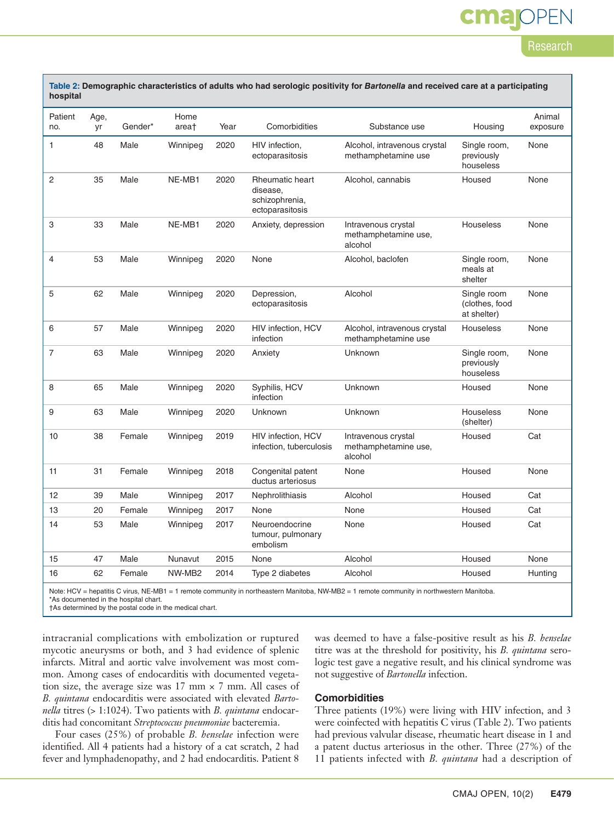# cma

#### Research

| Patient        | Age,          |        | Home              |      |                                                                                              |                                                        |                                              | Animal   |
|----------------|---------------|--------|-------------------|------|----------------------------------------------------------------------------------------------|--------------------------------------------------------|----------------------------------------------|----------|
| no.            | Gender*<br>yr |        | area <sup>+</sup> | Year | Comorbidities                                                                                | Substance use                                          | Housing                                      | exposure |
| $\mathbf{1}$   | 48            | Male   | Winnipeg          | 2020 | HIV infection,<br>ectoparasitosis                                                            | Alcohol, intravenous crystal<br>methamphetamine use    | Single room,<br>previously<br>houseless      | None     |
| $\overline{c}$ | 35            | Male   | NE-MB1            | 2020 | <b>Rheumatic heart</b><br>Alcohol, cannabis<br>disease,<br>schizophrenia,<br>ectoparasitosis |                                                        | Housed                                       | None     |
| 3              | 33            | Male   | NE-MB1            | 2020 | Intravenous crystal<br>Anxiety, depression<br>methamphetamine use,<br>alcohol                |                                                        | <b>Houseless</b>                             | None     |
| $\overline{4}$ | 53            | Male   | Winnipeg          | 2020 | None                                                                                         | Alcohol, baclofen                                      | Single room,<br>meals at<br>shelter          | None     |
| 5              | 62            | Male   | Winnipeg          | 2020 | Depression,<br>ectoparasitosis                                                               | Alcohol                                                | Single room<br>(clothes, food<br>at shelter) | None     |
| 6              | 57            | Male   | Winnipeg          | 2020 | HIV infection, HCV<br>infection                                                              | Alcohol, intravenous crystal<br>methamphetamine use    |                                              | None     |
| 7              | 63            | Male   | Winnipeg          | 2020 | Anxiety                                                                                      | Unknown                                                | Single room,<br>previously<br>houseless      | None     |
| 8              | 65            | Male   | Winnipeg          | 2020 | Syphilis, HCV<br>Unknown<br>infection                                                        |                                                        | Housed                                       | None     |
| 9              | 63            | Male   | Winnipeg          | 2020 | Unknown                                                                                      | Unknown                                                |                                              | None     |
| 10             | 38            | Female | Winnipeg          | 2019 | HIV infection, HCV<br>infection, tuberculosis                                                | Intravenous crystal<br>methamphetamine use,<br>alcohol | Housed                                       | Cat      |
| 11             | 31            | Female | Winnipeg          | 2018 | Congenital patent<br>ductus arteriosus                                                       | None                                                   | Housed                                       | None     |
| 12             | 39            | Male   | Winnipeg          | 2017 | Nephrolithiasis                                                                              | Alcohol                                                | Housed                                       | Cat      |
| 13             | 20            | Female | Winnipeg          | 2017 | None                                                                                         | None                                                   | Housed                                       | Cat      |
| 14             | 53            | Male   | Winnipeg          | 2017 | Neuroendocrine<br>tumour, pulmonary<br>embolism                                              | None<br>Housed                                         |                                              | Cat      |
| 15             | 47            | Male   | Nunavut           | 2015 | None                                                                                         | Alcohol                                                | Housed                                       | None     |
| 16             | 62            | Female | NW-MB2            | 2014 | Type 2 diabetes                                                                              | Alcohol                                                | Housed                                       | Hunting  |

Note: HCV = hepatitis C virus, NE-MB1 = 1 remote community in northeastern Manitoba, NW-MB2 = 1 remote community in northwestern Manitoba.

\*As documented in the hospital chart.

†As determined by the postal code in the medical chart.

intracranial complications with embolization or ruptured mycotic aneurysms or both, and 3 had evidence of splenic infarcts. Mitral and aortic valve involvement was most common. Among cases of endocarditis with documented vegetation size, the average size was  $17$  mm  $\times$  7 mm. All cases of *B. quintana* endocarditis were associated with elevated *Bartonella* titres (> 1:1024). Two patients with *B. quintana* endocarditis had concomitant *Streptococcus pneumoniae* bacteremia.

Four cases (25%) of probable *B. henselae* infection were identified. All 4 patients had a history of a cat scratch, 2 had fever and lymphadenopathy, and 2 had endocarditis. Patient 8

was deemed to have a false-positive result as his *B. henselae* titre was at the threshold for positivity, his *B. quintana* serologic test gave a negative result, and his clinical syndrome was not suggestive of *Bartonella* infection.

#### **Comorbidities**

Three patients (19%) were living with HIV infection, and 3 were coinfected with hepatitis C virus (Table 2). Two patients had previous valvular disease, rheumatic heart disease in 1 and a patent ductus arteriosus in the other. Three (27%) of the 11 patients infected with *B. quintana* had a description of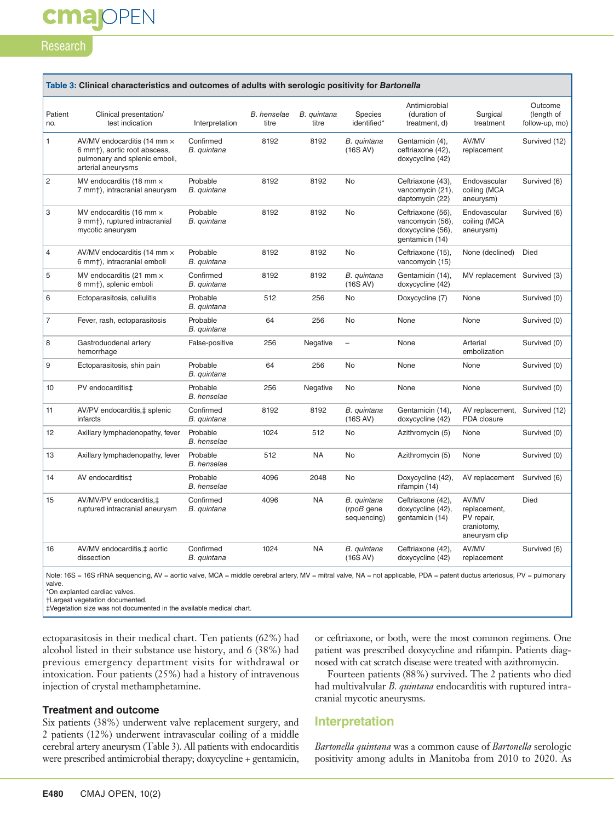#### Research

**cmajOPEN** 

| Patient<br>no. | Clinical presentation/<br>test indication                                                                                       | Interpretation                 | <b>B.</b> henselae<br>titre | B. quintana<br>titre | Species<br>identified*                   | Antimicrobial<br>(duration of<br>treatment, d)                                | Surgical<br>treatment                                               | Outcome<br>(length of<br>follow-up, mo) |
|----------------|---------------------------------------------------------------------------------------------------------------------------------|--------------------------------|-----------------------------|----------------------|------------------------------------------|-------------------------------------------------------------------------------|---------------------------------------------------------------------|-----------------------------------------|
| 1              | AV/MV endocarditis (14 mm x<br>6 mm <sup>+</sup> ), aortic root abscess,<br>pulmonary and splenic emboli,<br>arterial aneurysms | Confirmed<br>B. quintana       | 8192                        | 8192                 | B. quintana<br>(16S AV)                  | Gentamicin (4),<br>ceftriaxone (42),<br>doxycycline (42)                      | AV/MV<br>replacement                                                | Survived (12)                           |
| $\overline{c}$ | MV endocarditis (18 mm x<br>7 mm <sup>+</sup> ), intracranial aneurysm                                                          | Probable<br>B. quintana        | 8192                        | 8192                 | No                                       | Ceftriaxone (43),<br>vancomycin (21),<br>daptomycin (22)                      | Endovascular<br>coiling (MCA<br>aneurysm)                           | Survived (6)                            |
| 3              | MV endocarditis (16 mm $\times$<br>9 mm <sup>+</sup> ), ruptured intracranial<br>mycotic aneurysm                               | Probable<br>B. quintana        | 8192                        | 8192                 | No                                       | Ceftriaxone (56),<br>vancomycin (56),<br>doxycycline (56),<br>gentamicin (14) | Endovascular<br>coiling (MCA<br>aneurysm)                           | Survived (6)                            |
| 4              | AV/MV endocarditis (14 mm $\times$<br>6 mm <sup>+</sup> ), intracranial emboli                                                  | Probable<br>B. quintana        | 8192                        | 8192                 | No                                       | Ceftriaxone (15),<br>vancomycin (15)                                          | None (declined)                                                     | <b>Died</b>                             |
| 5              | MV endocarditis (21 mm $\times$<br>6 mm <sup>+</sup> ), splenic emboli                                                          | Confirmed<br>B. quintana       | 8192                        | 8192                 | B. quintana<br>(16S AV)                  | Gentamicin (14),<br>doxycycline (42)                                          | MV replacement Survived (3)                                         |                                         |
| 6              | Ectoparasitosis, cellulitis                                                                                                     | Probable<br>B. quintana        | 512                         | 256                  | No                                       | Doxycycline (7)                                                               | None                                                                | Survived (0)                            |
| $\overline{7}$ | Fever, rash, ectoparasitosis                                                                                                    | Probable<br>B. quintana        | 64                          | 256                  | No                                       | None                                                                          | None                                                                | Survived (0)                            |
| 8              | Gastroduodenal artery<br>hemorrhage                                                                                             | False-positive                 | 256                         | Negative             | $\qquad \qquad -$                        | None                                                                          | Arterial<br>embolization                                            | Survived (0)                            |
| 9              | Ectoparasitosis, shin pain                                                                                                      | Probable<br>B. quintana        | 64                          | 256                  | No                                       | None                                                                          | None                                                                | Survived (0)                            |
| 10             | PV endocarditis‡                                                                                                                | Probable<br><b>B.</b> henselae | 256                         | Negative             | No                                       | None                                                                          | None                                                                | Survived (0)                            |
| 11             | AV/PV endocarditis, ‡ splenic<br>infarcts                                                                                       | Confirmed<br>B. quintana       | 8192                        | 8192                 | B. quintana<br>(16S AV)                  | Gentamicin (14),<br>doxycycline (42)                                          | AV replacement,<br>PDA closure                                      | Survived (12)                           |
| 12             | Axillary lymphadenopathy, fever                                                                                                 | Probable<br><b>B.</b> henselae | 1024                        | 512                  | No                                       | Azithromycin (5)                                                              | None                                                                | Survived (0)                            |
| 13             | Axillary lymphadenopathy, fever                                                                                                 | Probable<br><b>B.</b> henselae | 512                         | <b>NA</b>            | No                                       | Azithromycin (5)                                                              | None                                                                | Survived (0)                            |
| 14             | AV endocarditis‡                                                                                                                | Probable<br><b>B.</b> henselae | 4096                        | 2048                 | <b>No</b>                                | Doxycycline (42),<br>rifampin (14)                                            | AV replacement                                                      | Survived (6)                            |
| 15             | AV/MV/PV endocarditis,‡<br>ruptured intracranial aneurysm                                                                       | Confirmed<br>B. quintana       | 4096                        | <b>NA</b>            | B. quintana<br>(rpoB gene<br>sequencing) | Ceftriaxone (42),<br>doxycycline (42),<br>gentamicin (14)                     | AV/MV<br>replacement,<br>PV repair,<br>craniotomy,<br>aneurysm clip | <b>Died</b>                             |
| 16             | AV/MV endocarditis, ‡ aortic<br>dissection                                                                                      | Confirmed<br>B. quintana       | 1024                        | <b>NA</b>            | B. quintana<br>(16S AV)                  | Ceftriaxone (42),<br>doxycycline (42)                                         | AV/MV<br>replacement                                                | Survived (6)                            |

valve.

\*On explanted cardiac valves.

†Largest vegetation documented.

‡Vegetation size was not documented in the available medical chart.

ectoparasitosis in their medical chart. Ten patients (62%) had alcohol listed in their substance use history, and 6 (38%) had previous emergency department visits for withdrawal or intoxication. Four patients (25%) had a history of intravenous injection of crystal methamphetamine.

#### **Treatment and outcome**

Six patients (38%) underwent valve replacement surgery, and 2 patients (12%) underwent intravascular coiling of a middle cerebral artery aneurysm (Table 3). All patients with endocarditis were prescribed antimicrobial therapy; doxycycline + gentamicin,

or ceftriaxone, or both, were the most common regimens. One patient was prescribed doxycycline and rifampin. Patients diagnosed with cat scratch disease were treated with azithromycin.

Fourteen patients (88%) survived. The 2 patients who died had multivalvular *B. quintana* endocarditis with ruptured intra cranial mycotic aneurysms.

#### **Interpretation**

*Bartonella quintana* was a common cause of *Bartonella* serologic positivity among adults in Manitoba from 2010 to 2020. As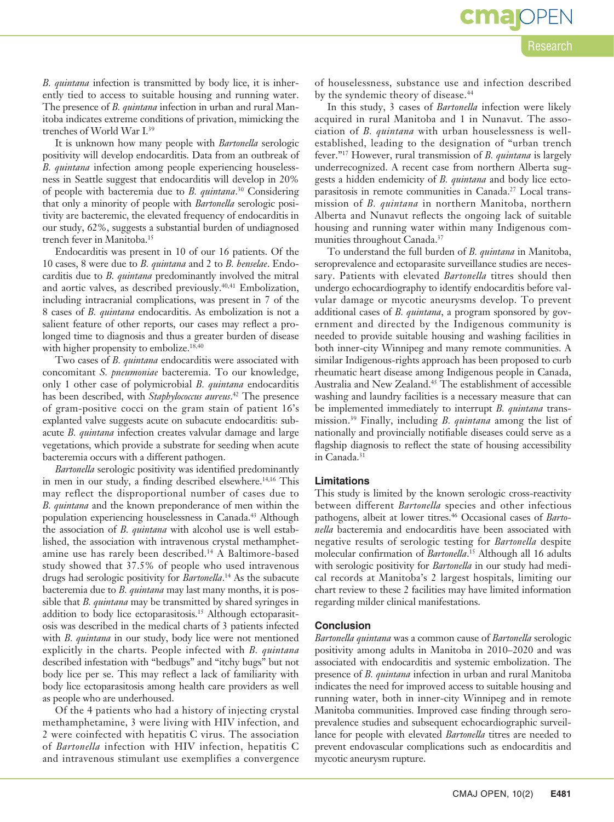$cma$ OP

*B. quintana* infection is transmitted by body lice, it is inherently tied to access to suitable housing and running water. The presence of *B. quintana* infection in urban and rural Manitoba indicates extreme conditions of privation, mimicking the trenches of World War I.39

It is unknown how many people with *Bartonella* serologic positivity will develop endocarditis. Data from an outbreak of *B. quintana* infection among people experiencing houselessness in Seattle suggest that endocarditis will develop in 20% of people with bacteremia due to *B. quintana*. 30 Considering that only a minority of people with *Bartonella* serologic positivity are bacteremic, the elevated frequency of endocarditis in our study, 62%, suggests a substantial burden of undiagnosed trench fever in Manitoba.15

Endocarditis was present in 10 of our 16 patients. Of the 10 cases, 8 were due to *B. quintana* and 2 to *B. henselae*. Endocarditis due to *B. quintana* predominantly involved the mitral and aortic valves, as described previously.<sup>40,41</sup> Embolization, including intracranial complications, was present in 7 of the 8 cases of *B. quintana* endocarditis. As embolization is not a salient feature of other reports, our cases may reflect a prolonged time to diagnosis and thus a greater burden of disease with higher propensity to embolize.<sup>18,40</sup>

Two cases of *B. quintana* endocarditis were associated with concomitant *S. pneumoniae* bacteremia. To our knowledge, only 1 other case of polymicrobial *B. quintana* endocarditis has been described, with *Staphylococcus aureus*. 42 The presence of gram-positive cocci on the gram stain of patient 16's explanted valve suggests acute on subacute endocarditis: subacute *B. quintana* infection creates valvular damage and large vegetations, which provide a substrate for seeding when acute bacteremia occurs with a different pathogen.

*Bartonella* serologic positivity was identified predominantly in men in our study, a finding described elsewhere.<sup>14,16</sup> This may reflect the disproportional number of cases due to *B. quintana* and the known preponderance of men within the population experiencing houselessness in Canada.43 Although the association of *B. quintana* with alcohol use is well established, the association with intravenous crystal methamphetamine use has rarely been described.14 A Baltimore-based study showed that 37.5% of people who used intravenous drugs had serologic positivity for *Bartonella*. 14 As the subacute bacteremia due to *B. quintana* may last many months, it is possible that *B. quintana* may be transmitted by shared syringes in addition to body lice ectoparasitosis.15 Although ectoparasitosis was described in the medical charts of 3 patients infected with *B. quintana* in our study, body lice were not mentioned explicitly in the charts. People infected with *B. quintana* described infestation with "bedbugs" and "itchy bugs" but not body lice per se. This may reflect a lack of familiarity with body lice ectoparasitosis among health care providers as well as people who are underhoused.

Of the 4 patients who had a history of injecting crystal methamphetamine, 3 were living with HIV infection, and 2 were coinfected with hepatitis C virus. The association of *Bartonella* infection with HIV infection, hepatitis C and intravenous stimulant use exemplifies a convergence

of houselessness, substance use and infection described by the syndemic theory of disease.<sup>44</sup>

In this study, 3 cases of *Bartonella* infection were likely acquired in rural Manitoba and 1 in Nunavut. The association of *B. quintana* with urban houselessness is wellestablished, leading to the designation of "urban trench fever."17 However, rural transmission of *B. quintana* is largely underrecognized. A recent case from northern Alberta suggests a hidden endemicity of *B. quintana* and body lice ectoparasitosis in remote communities in Canada.<sup>27</sup> Local transmission of *B. quintana* in northern Manitoba, northern Alberta and Nunavut reflects the ongoing lack of suitable housing and running water within many Indigenous communities throughout Canada.37

To understand the full burden of *B. quintana* in Manitoba, seroprevalence and ectoparasite surveillance studies are necessary. Patients with elevated *Bartonella* titres should then undergo echocardiography to identify endocarditis before valvular damage or mycotic aneurysms develop. To prevent additional cases of *B. quintana*, a program sponsored by government and directed by the Indigenous community is needed to provide suitable housing and washing facilities in both inner-city Winnipeg and many remote communities. A similar Indigenous-rights approach has been proposed to curb rheumatic heart disease among Indigenous people in Canada, Australia and New Zealand.45 The establishment of accessible washing and laundry facilities is a necessary measure that can be implemented immediately to interrupt *B. quintana* transmission.39 Finally, including *B. quintana* among the list of nationally and provincially notifiable diseases could serve as a flagship diagnosis to reflect the state of housing accessibility in Canada.<sup>31</sup>

#### **Limitations**

This study is limited by the known serologic cross-reactivity between different *Bartonella* species and other infectious pathogens, albeit at lower titres.46 Occasional cases of *Bartonella* bacteremia and endocarditis have been associated with negative results of serologic testing for *Bartonella* despite molecular confirmation of *Bartonella*. 15 Although all 16 adults with serologic positivity for *Bartonella* in our study had medical records at Manitoba's 2 largest hospitals, limiting our chart review to these 2 facilities may have limited information regarding milder clinical manifestations.

#### **Conclusion**

*Bartonella quintana* was a common cause of *Bartonella* serologic positivity among adults in Manitoba in 2010–2020 and was associated with endocarditis and systemic embolization. The presence of *B. quintana* infection in urban and rural Manitoba indicates the need for improved access to suitable housing and running water, both in inner-city Winnipeg and in remote Manitoba communities. Improved case finding through seroprevalence studies and subsequent echocardiographic surveillance for people with elevated *Bartonella* titres are needed to prevent endovascular complications such as endocarditis and mycotic aneurysm rupture.